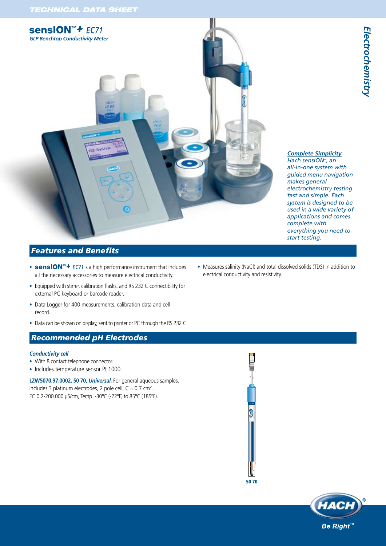

#### *Complete Simplicity Hach sensION+, an*

*all-in-one system with guided menu navigation makes general electrochemistry testing fast and simple. Each system is designed to be used in a wide variety of applications and comes complete with everything you need to start testing.*

# *Features and Benefits*

- **sensION** *PH31* FC71 is a high performance instrument that includes Measures salinity (NaC<br>all the necessary accessories to measure electrical conductivity. electrical conductivity
- Equipped with stirrer, calibration flasks, and RS 232 C connectibility for external PC keyboard or barcode reader.
- Data Logger for 400 measurements, calibration data and cell record.
- Data can be shown on display, sent to printer or PC through the RS 232 C.

## *Recommended pH Electrodes*

#### *Conductivity cell*

- With 8 contact telephone connector.
- Includes temperature sensor Pt 1000.

**LZW5070.97.0002, 50 70,** *Universal.* For general aqueous samples. Includes 3 platinum electrodes, 2 pole cell,  $C \approx 0.7$  cm<sup>-1</sup>. EC 0.2-200.000 μS/cm, Temp. -30ºC (-22ºF) to 85ºC (185ºF).





#### • Measures salinity (NaCl) and total dissolved solids (TDS) in addition to electrical conductivityand resistivity.